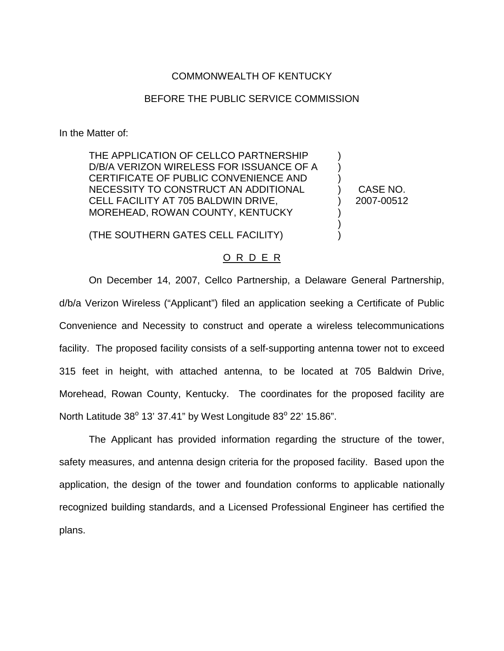## COMMONWEALTH OF KENTUCKY

## BEFORE THE PUBLIC SERVICE COMMISSION

In the Matter of:

THE APPLICATION OF CELLCO PARTNERSHIP D/B/A VERIZON WIRELESS FOR ISSUANCE OF A CERTIFICATE OF PUBLIC CONVENIENCE AND NECESSITY TO CONSTRUCT AN ADDITIONAL CELL FACILITY AT 705 BALDWIN DRIVE, MOREHEAD, ROWAN COUNTY, KENTUCKY

CASE NO. 2007-00512

) ) ) ) ) ) ) )

(THE SOUTHERN GATES CELL FACILITY)

## O R D E R

On December 14, 2007, Cellco Partnership, a Delaware General Partnership, d/b/a Verizon Wireless ("Applicant") filed an application seeking a Certificate of Public Convenience and Necessity to construct and operate a wireless telecommunications facility. The proposed facility consists of a self-supporting antenna tower not to exceed 315 feet in height, with attached antenna, to be located at 705 Baldwin Drive, Morehead, Rowan County, Kentucky. The coordinates for the proposed facility are North Latitude 38° 13' 37.41" by West Longitude 83° 22' 15.86".

The Applicant has provided information regarding the structure of the tower, safety measures, and antenna design criteria for the proposed facility. Based upon the application, the design of the tower and foundation conforms to applicable nationally recognized building standards, and a Licensed Professional Engineer has certified the plans.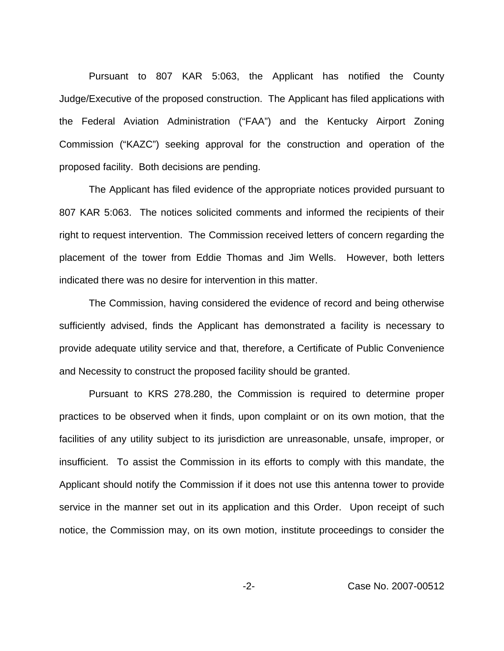Pursuant to 807 KAR 5:063, the Applicant has notified the County Judge/Executive of the proposed construction. The Applicant has filed applications with the Federal Aviation Administration ("FAA") and the Kentucky Airport Zoning Commission ("KAZC") seeking approval for the construction and operation of the proposed facility. Both decisions are pending.

The Applicant has filed evidence of the appropriate notices provided pursuant to 807 KAR 5:063. The notices solicited comments and informed the recipients of their right to request intervention. The Commission received letters of concern regarding the placement of the tower from Eddie Thomas and Jim Wells. However, both letters indicated there was no desire for intervention in this matter.

The Commission, having considered the evidence of record and being otherwise sufficiently advised, finds the Applicant has demonstrated a facility is necessary to provide adequate utility service and that, therefore, a Certificate of Public Convenience and Necessity to construct the proposed facility should be granted.

Pursuant to KRS 278.280, the Commission is required to determine proper practices to be observed when it finds, upon complaint or on its own motion, that the facilities of any utility subject to its jurisdiction are unreasonable, unsafe, improper, or insufficient. To assist the Commission in its efforts to comply with this mandate, the Applicant should notify the Commission if it does not use this antenna tower to provide service in the manner set out in its application and this Order. Upon receipt of such notice, the Commission may, on its own motion, institute proceedings to consider the

-2- Case No. 2007-00512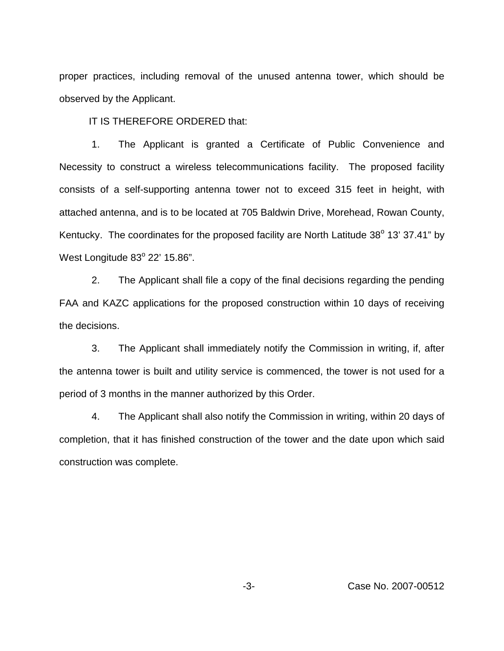proper practices, including removal of the unused antenna tower, which should be observed by the Applicant.

IT IS THEREFORE ORDERED that:

1. The Applicant is granted a Certificate of Public Convenience and Necessity to construct a wireless telecommunications facility. The proposed facility consists of a self-supporting antenna tower not to exceed 315 feet in height, with attached antenna, and is to be located at 705 Baldwin Drive, Morehead, Rowan County, Kentucky. The coordinates for the proposed facility are North Latitude 38° 13' 37.41" by West Longitude  $83^{\circ}$  22' 15.86".

2. The Applicant shall file a copy of the final decisions regarding the pending FAA and KAZC applications for the proposed construction within 10 days of receiving the decisions.

3. The Applicant shall immediately notify the Commission in writing, if, after the antenna tower is built and utility service is commenced, the tower is not used for a period of 3 months in the manner authorized by this Order.

4. The Applicant shall also notify the Commission in writing, within 20 days of completion, that it has finished construction of the tower and the date upon which said construction was complete.